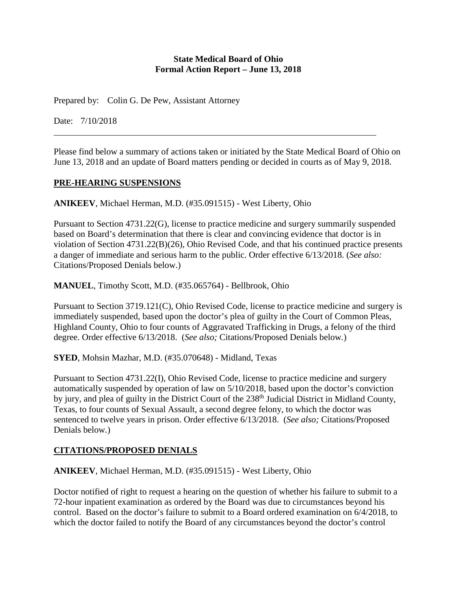#### **State Medical Board of Ohio Formal Action Report – June 13, 2018**

Prepared by: Colin G. De Pew, Assistant Attorney

Date: 7/10/2018

Please find below a summary of actions taken or initiated by the State Medical Board of Ohio on June 13, 2018 and an update of Board matters pending or decided in courts as of May 9, 2018.

## **PRE-HEARING SUSPENSIONS**

**ANIKEEV**, Michael Herman, M.D. (#35.091515) - West Liberty, Ohio

Pursuant to Section 4731.22(G), license to practice medicine and surgery summarily suspended based on Board's determination that there is clear and convincing evidence that doctor is in violation of Section 4731.22(B)(26), Ohio Revised Code, and that his continued practice presents a danger of immediate and serious harm to the public. Order effective 6/13/2018. (*See also:* Citations/Proposed Denials below.)

**MANUEL**, Timothy Scott, M.D. (#35.065764) - Bellbrook, Ohio

Pursuant to Section 3719.121(C), Ohio Revised Code, license to practice medicine and surgery is immediately suspended, based upon the doctor's plea of guilty in the Court of Common Pleas, Highland County, Ohio to four counts of Aggravated Trafficking in Drugs, a felony of the third degree. Order effective 6/13/2018. (*See also;* Citations/Proposed Denials below*.*)

**SYED**, Mohsin Mazhar, M.D. (#35.070648) - Midland, Texas

Pursuant to Section 4731.22(I), Ohio Revised Code, license to practice medicine and surgery automatically suspended by operation of law on 5/10/2018, based upon the doctor's conviction by jury, and plea of guilty in the District Court of the 238<sup>th</sup> Judicial District in Midland County, Texas, to four counts of Sexual Assault, a second degree felony, to which the doctor was sentenced to twelve years in prison. Order effective 6/13/2018. (*See also;* Citations/Proposed Denials below*.*)

# **CITATIONS/PROPOSED DENIALS**

**ANIKEEV**, Michael Herman, M.D. (#35.091515) - West Liberty, Ohio

Doctor notified of right to request a hearing on the question of whether his failure to submit to a 72-hour inpatient examination as ordered by the Board was due to circumstances beyond his control. Based on the doctor's failure to submit to a Board ordered examination on 6/4/2018, to which the doctor failed to notify the Board of any circumstances beyond the doctor's control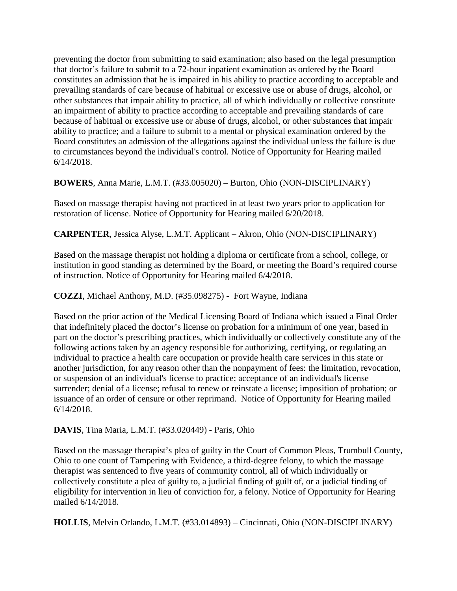preventing the doctor from submitting to said examination; also based on the legal presumption that doctor's failure to submit to a 72-hour inpatient examination as ordered by the Board constitutes an admission that he is impaired in his ability to practice according to acceptable and prevailing standards of care because of habitual or excessive use or abuse of drugs, alcohol, or other substances that impair ability to practice, all of which individually or collective constitute an impairment of ability to practice according to acceptable and prevailing standards of care because of habitual or excessive use or abuse of drugs, alcohol, or other substances that impair ability to practice; and a failure to submit to a mental or physical examination ordered by the Board constitutes an admission of the allegations against the individual unless the failure is due to circumstances beyond the individual's control. Notice of Opportunity for Hearing mailed 6/14/2018.

**BOWERS**, Anna Marie, L.M.T. (#33.005020) – Burton, Ohio (NON-DISCIPLINARY)

Based on massage therapist having not practiced in at least two years prior to application for restoration of license. Notice of Opportunity for Hearing mailed 6/20/2018.

**CARPENTER**, Jessica Alyse, L.M.T. Applicant – Akron, Ohio (NON-DISCIPLINARY)

Based on the massage therapist not holding a diploma or certificate from a school, college, or institution in good standing as determined by the Board, or meeting the Board's required course of instruction. Notice of Opportunity for Hearing mailed 6/4/2018.

**COZZI**, Michael Anthony, M.D. (#35.098275) - Fort Wayne, Indiana

Based on the prior action of the Medical Licensing Board of Indiana which issued a Final Order that indefinitely placed the doctor's license on probation for a minimum of one year, based in part on the doctor's prescribing practices, which individually or collectively constitute any of the following actions taken by an agency responsible for authorizing, certifying, or regulating an individual to practice a health care occupation or provide health care services in this state or another jurisdiction, for any reason other than the nonpayment of fees: the limitation, revocation, or suspension of an individual's license to practice; acceptance of an individual's license surrender; denial of a license; refusal to renew or reinstate a license; imposition of probation; or issuance of an order of censure or other reprimand. Notice of Opportunity for Hearing mailed 6/14/2018.

**DAVIS**, Tina Maria, L.M.T. (#33.020449) - Paris, Ohio

Based on the massage therapist's plea of guilty in the Court of Common Pleas, Trumbull County, Ohio to one count of Tampering with Evidence, a third-degree felony, to which the massage therapist was sentenced to five years of community control, all of which individually or collectively constitute a plea of guilty to, a judicial finding of guilt of, or a judicial finding of eligibility for intervention in lieu of conviction for, a felony. Notice of Opportunity for Hearing mailed 6/14/2018.

**HOLLIS**, Melvin Orlando, L.M.T. (#33.014893) – Cincinnati, Ohio (NON-DISCIPLINARY)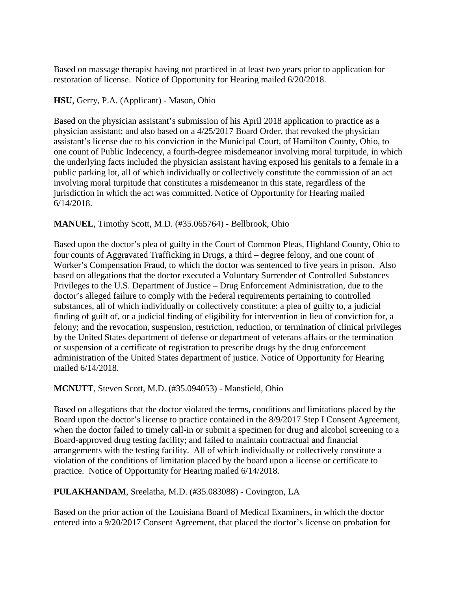Based on massage therapist having not practiced in at least two years prior to application for restoration of license. Notice of Opportunity for Hearing mailed 6/20/2018.

## **HSU**, Gerry, P.A. (Applicant) - Mason, Ohio

Based on the physician assistant's submission of his April 2018 application to practice as a physician assistant; and also based on a 4/25/2017 Board Order, that revoked the physician assistant's license due to his conviction in the Municipal Court, of Hamilton County, Ohio, to one count of Public Indecency, a fourth-degree misdemeanor involving moral turpitude, in which the underlying facts included the physician assistant having exposed his genitals to a female in a public parking lot, all of which individually or collectively constitute the commission of an act involving moral turpitude that constitutes a misdemeanor in this state, regardless of the jurisdiction in which the act was committed. Notice of Opportunity for Hearing mailed 6/14/2018.

## **MANUEL**, Timothy Scott, M.D. (#35.065764) - Bellbrook, Ohio

Based upon the doctor's plea of guilty in the Court of Common Pleas, Highland County, Ohio to four counts of Aggravated Trafficking in Drugs, a third – degree felony, and one count of Worker's Compensation Fraud, to which the doctor was sentenced to five years in prison. Also based on allegations that the doctor executed a Voluntary Surrender of Controlled Substances Privileges to the U.S. Department of Justice – Drug Enforcement Administration, due to the doctor's alleged failure to comply with the Federal requirements pertaining to controlled substances, all of which individually or collectively constitute: a plea of guilty to, a judicial finding of guilt of, or a judicial finding of eligibility for intervention in lieu of conviction for, a felony; and the revocation, suspension, restriction, reduction, or termination of clinical privileges by the United States department of defense or department of veterans affairs or the termination or suspension of a certificate of registration to prescribe drugs by the drug enforcement administration of the United States department of justice. Notice of Opportunity for Hearing mailed 6/14/2018.

## **MCNUTT**, Steven Scott, M.D. (#35.094053) - Mansfield, Ohio

Based on allegations that the doctor violated the terms, conditions and limitations placed by the Board upon the doctor's license to practice contained in the 8/9/2017 Step I Consent Agreement, when the doctor failed to timely call-in or submit a specimen for drug and alcohol screening to a Board-approved drug testing facility; and failed to maintain contractual and financial arrangements with the testing facility. All of which individually or collectively constitute a violation of the conditions of limitation placed by the board upon a license or certificate to practice. Notice of Opportunity for Hearing mailed 6/14/2018.

# **PULAKHANDAM**, Sreelatha, M.D. (#35.083088) - Covington, LA

Based on the prior action of the Louisiana Board of Medical Examiners, in which the doctor entered into a 9/20/2017 Consent Agreement, that placed the doctor's license on probation for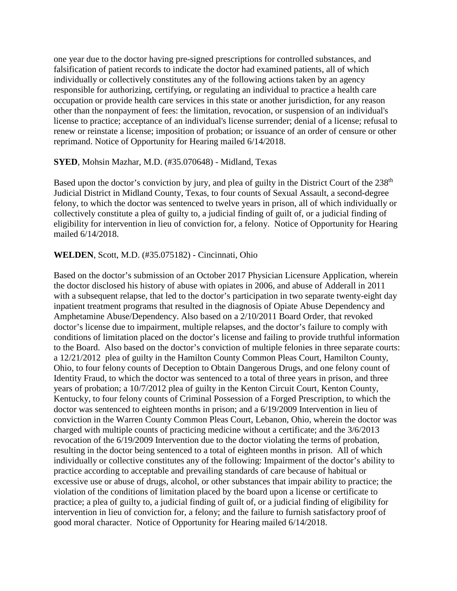one year due to the doctor having pre-signed prescriptions for controlled substances, and falsification of patient records to indicate the doctor had examined patients, all of which individually or collectively constitutes any of the following actions taken by an agency responsible for authorizing, certifying, or regulating an individual to practice a health care occupation or provide health care services in this state or another jurisdiction, for any reason other than the nonpayment of fees: the limitation, revocation, or suspension of an individual's license to practice; acceptance of an individual's license surrender; denial of a license; refusal to renew or reinstate a license; imposition of probation; or issuance of an order of censure or other reprimand. Notice of Opportunity for Hearing mailed 6/14/2018.

#### **SYED**, Mohsin Mazhar, M.D. (#35.070648) - Midland, Texas

Based upon the doctor's conviction by jury, and plea of guilty in the District Court of the 238<sup>th</sup> Judicial District in Midland County, Texas, to four counts of Sexual Assault, a second-degree felony, to which the doctor was sentenced to twelve years in prison, all of which individually or collectively constitute a plea of guilty to, a judicial finding of guilt of, or a judicial finding of eligibility for intervention in lieu of conviction for, a felony. Notice of Opportunity for Hearing mailed 6/14/2018.

#### **WELDEN**, Scott, M.D. (#35.075182) - Cincinnati, Ohio

Based on the doctor's submission of an October 2017 Physician Licensure Application, wherein the doctor disclosed his history of abuse with opiates in 2006, and abuse of Adderall in 2011 with a subsequent relapse, that led to the doctor's participation in two separate twenty-eight day inpatient treatment programs that resulted in the diagnosis of Opiate Abuse Dependency and Amphetamine Abuse/Dependency. Also based on a 2/10/2011 Board Order, that revoked doctor's license due to impairment, multiple relapses, and the doctor's failure to comply with conditions of limitation placed on the doctor's license and failing to provide truthful information to the Board. Also based on the doctor's conviction of multiple felonies in three separate courts: a 12/21/2012 plea of guilty in the Hamilton County Common Pleas Court, Hamilton County, Ohio, to four felony counts of Deception to Obtain Dangerous Drugs, and one felony count of Identity Fraud, to which the doctor was sentenced to a total of three years in prison, and three years of probation; a 10/7/2012 plea of guilty in the Kenton Circuit Court, Kenton County, Kentucky, to four felony counts of Criminal Possession of a Forged Prescription, to which the doctor was sentenced to eighteen months in prison; and a 6/19/2009 Intervention in lieu of conviction in the Warren County Common Pleas Court, Lebanon, Ohio, wherein the doctor was charged with multiple counts of practicing medicine without a certificate; and the 3/6/2013 revocation of the 6/19/2009 Intervention due to the doctor violating the terms of probation, resulting in the doctor being sentenced to a total of eighteen months in prison. All of which individually or collective constitutes any of the following: Impairment of the doctor's ability to practice according to acceptable and prevailing standards of care because of habitual or excessive use or abuse of drugs, alcohol, or other substances that impair ability to practice; the violation of the conditions of limitation placed by the board upon a license or certificate to practice; a plea of guilty to, a judicial finding of guilt of, or a judicial finding of eligibility for intervention in lieu of conviction for, a felony; and the failure to furnish satisfactory proof of good moral character. Notice of Opportunity for Hearing mailed 6/14/2018.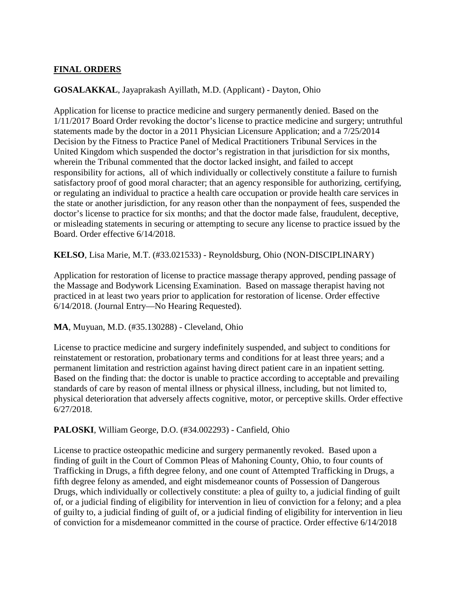## **FINAL ORDERS**

## **GOSALAKKAL**, Jayaprakash Ayillath, M.D. (Applicant) - Dayton, Ohio

Application for license to practice medicine and surgery permanently denied. Based on the 1/11/2017 Board Order revoking the doctor's license to practice medicine and surgery; untruthful statements made by the doctor in a 2011 Physician Licensure Application; and a 7/25/2014 Decision by the Fitness to Practice Panel of Medical Practitioners Tribunal Services in the United Kingdom which suspended the doctor's registration in that jurisdiction for six months, wherein the Tribunal commented that the doctor lacked insight, and failed to accept responsibility for actions, all of which individually or collectively constitute a failure to furnish satisfactory proof of good moral character; that an agency responsible for authorizing, certifying, or regulating an individual to practice a health care occupation or provide health care services in the state or another jurisdiction, for any reason other than the nonpayment of fees, suspended the doctor's license to practice for six months; and that the doctor made false, fraudulent, deceptive, or misleading statements in securing or attempting to secure any license to practice issued by the Board. Order effective 6/14/2018.

**KELSO**, Lisa Marie, M.T. (#33.021533) - Reynoldsburg, Ohio (NON-DISCIPLINARY)

Application for restoration of license to practice massage therapy approved, pending passage of the Massage and Bodywork Licensing Examination. Based on massage therapist having not practiced in at least two years prior to application for restoration of license. Order effective 6/14/2018. (Journal Entry—No Hearing Requested).

**MA**, Muyuan, M.D. (#35.130288) - Cleveland, Ohio

License to practice medicine and surgery indefinitely suspended, and subject to conditions for reinstatement or restoration, probationary terms and conditions for at least three years; and a permanent limitation and restriction against having direct patient care in an inpatient setting. Based on the finding that: the doctor is unable to practice according to acceptable and prevailing standards of care by reason of mental illness or physical illness, including, but not limited to, physical deterioration that adversely affects cognitive, motor, or perceptive skills. Order effective 6/27/2018.

**PALOSKI**, William George, D.O. (#34.002293) - Canfield, Ohio

License to practice osteopathic medicine and surgery permanently revoked. Based upon a finding of guilt in the Court of Common Pleas of Mahoning County, Ohio, to four counts of Trafficking in Drugs, a fifth degree felony, and one count of Attempted Trafficking in Drugs, a fifth degree felony as amended, and eight misdemeanor counts of Possession of Dangerous Drugs, which individually or collectively constitute: a plea of guilty to, a judicial finding of guilt of, or a judicial finding of eligibility for intervention in lieu of conviction for a felony; and a plea of guilty to, a judicial finding of guilt of, or a judicial finding of eligibility for intervention in lieu of conviction for a misdemeanor committed in the course of practice. Order effective 6/14/2018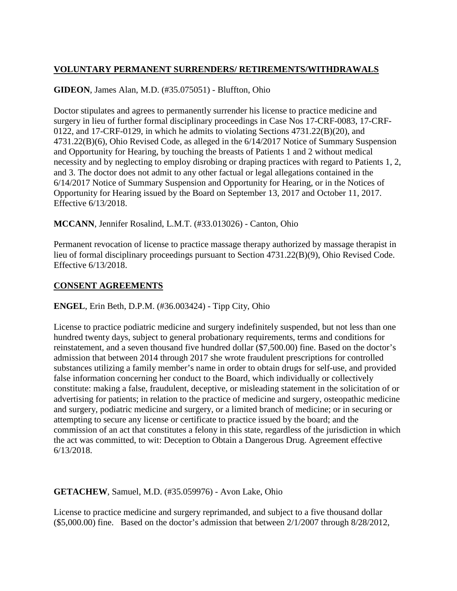# **VOLUNTARY PERMANENT SURRENDERS/ RETIREMENTS/WITHDRAWALS**

## **GIDEON**, James Alan, M.D. (#35.075051) - Bluffton, Ohio

Doctor stipulates and agrees to permanently surrender his license to practice medicine and surgery in lieu of further formal disciplinary proceedings in Case Nos 17-CRF-0083, 17-CRF-0122, and 17-CRF-0129, in which he admits to violating Sections 4731.22(B)(20), and 4731.22(B)(6), Ohio Revised Code, as alleged in the 6/14/2017 Notice of Summary Suspension and Opportunity for Hearing, by touching the breasts of Patients 1 and 2 without medical necessity and by neglecting to employ disrobing or draping practices with regard to Patients 1, 2, and 3. The doctor does not admit to any other factual or legal allegations contained in the 6/14/2017 Notice of Summary Suspension and Opportunity for Hearing, or in the Notices of Opportunity for Hearing issued by the Board on September 13, 2017 and October 11, 2017. Effective 6/13/2018.

**MCCANN**, Jennifer Rosalind, L.M.T. (#33.013026) - Canton, Ohio

Permanent revocation of license to practice massage therapy authorized by massage therapist in lieu of formal disciplinary proceedings pursuant to Section 4731.22(B)(9), Ohio Revised Code. Effective 6/13/2018.

## **CONSENT AGREEMENTS**

**ENGEL**, Erin Beth, D.P.M. (#36.003424) - Tipp City, Ohio

License to practice podiatric medicine and surgery indefinitely suspended, but not less than one hundred twenty days, subject to general probationary requirements, terms and conditions for reinstatement, and a seven thousand five hundred dollar (\$7,500.00) fine. Based on the doctor's admission that between 2014 through 2017 she wrote fraudulent prescriptions for controlled substances utilizing a family member's name in order to obtain drugs for self-use, and provided false information concerning her conduct to the Board, which individually or collectively constitute: making a false, fraudulent, deceptive, or misleading statement in the solicitation of or advertising for patients; in relation to the practice of medicine and surgery, osteopathic medicine and surgery, podiatric medicine and surgery, or a limited branch of medicine; or in securing or attempting to secure any license or certificate to practice issued by the board; and the commission of an act that constitutes a felony in this state, regardless of the jurisdiction in which the act was committed, to wit: Deception to Obtain a Dangerous Drug. Agreement effective 6/13/2018.

## **GETACHEW**, Samuel, M.D. (#35.059976) - Avon Lake, Ohio

License to practice medicine and surgery reprimanded, and subject to a five thousand dollar  $($5,000.00)$  fine. Based on the doctor's admission that between  $2/1/2007$  through  $8/28/2012$ ,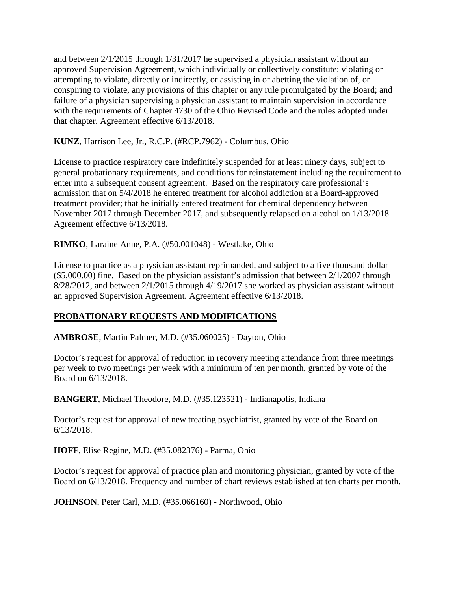and between 2/1/2015 through 1/31/2017 he supervised a physician assistant without an approved Supervision Agreement, which individually or collectively constitute: violating or attempting to violate, directly or indirectly, or assisting in or abetting the violation of, or conspiring to violate, any provisions of this chapter or any rule promulgated by the Board; and failure of a physician supervising a physician assistant to maintain supervision in accordance with the requirements of Chapter 4730 of the Ohio Revised Code and the rules adopted under that chapter. Agreement effective 6/13/2018.

**KUNZ**, Harrison Lee, Jr., R.C.P. (#RCP.7962) - Columbus, Ohio

License to practice respiratory care indefinitely suspended for at least ninety days, subject to general probationary requirements, and conditions for reinstatement including the requirement to enter into a subsequent consent agreement. Based on the respiratory care professional's admission that on 5/4/2018 he entered treatment for alcohol addiction at a Board-approved treatment provider; that he initially entered treatment for chemical dependency between November 2017 through December 2017, and subsequently relapsed on alcohol on 1/13/2018. Agreement effective 6/13/2018.

**RIMKO**, Laraine Anne, P.A. (#50.001048) - Westlake, Ohio

License to practice as a physician assistant reprimanded, and subject to a five thousand dollar (\$5,000.00) fine. Based on the physician assistant's admission that between 2/1/2007 through 8/28/2012, and between 2/1/2015 through 4/19/2017 she worked as physician assistant without an approved Supervision Agreement. Agreement effective 6/13/2018.

## **PROBATIONARY REQUESTS AND MODIFICATIONS**

**AMBROSE**, Martin Palmer, M.D. (#35.060025) - Dayton, Ohio

Doctor's request for approval of reduction in recovery meeting attendance from three meetings per week to two meetings per week with a minimum of ten per month, granted by vote of the Board on 6/13/2018.

**BANGERT**, Michael Theodore, M.D. (#35.123521) - Indianapolis, Indiana

Doctor's request for approval of new treating psychiatrist, granted by vote of the Board on 6/13/2018.

**HOFF**, Elise Regine, M.D. (#35.082376) - Parma, Ohio

Doctor's request for approval of practice plan and monitoring physician, granted by vote of the Board on 6/13/2018. Frequency and number of chart reviews established at ten charts per month.

**JOHNSON**, Peter Carl, M.D. (#35.066160) - Northwood, Ohio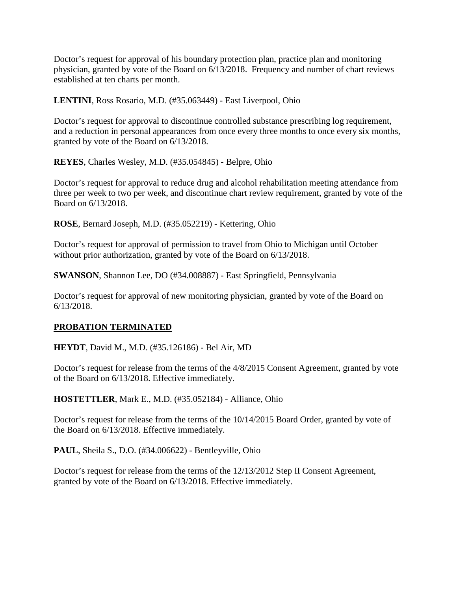Doctor's request for approval of his boundary protection plan, practice plan and monitoring physician, granted by vote of the Board on 6/13/2018. Frequency and number of chart reviews established at ten charts per month.

**LENTINI**, Ross Rosario, M.D. (#35.063449) - East Liverpool, Ohio

Doctor's request for approval to discontinue controlled substance prescribing log requirement, and a reduction in personal appearances from once every three months to once every six months, granted by vote of the Board on 6/13/2018.

**REYES**, Charles Wesley, M.D. (#35.054845) - Belpre, Ohio

Doctor's request for approval to reduce drug and alcohol rehabilitation meeting attendance from three per week to two per week, and discontinue chart review requirement, granted by vote of the Board on 6/13/2018.

**ROSE**, Bernard Joseph, M.D. (#35.052219) - Kettering, Ohio

Doctor's request for approval of permission to travel from Ohio to Michigan until October without prior authorization, granted by vote of the Board on 6/13/2018.

**SWANSON**, Shannon Lee, DO (#34.008887) - East Springfield, Pennsylvania

Doctor's request for approval of new monitoring physician, granted by vote of the Board on 6/13/2018.

## **PROBATION TERMINATED**

**HEYDT**, David M., M.D. (#35.126186) - Bel Air, MD

Doctor's request for release from the terms of the 4/8/2015 Consent Agreement, granted by vote of the Board on 6/13/2018. Effective immediately.

**HOSTETTLER**, Mark E., M.D. (#35.052184) - Alliance, Ohio

Doctor's request for release from the terms of the 10/14/2015 Board Order, granted by vote of the Board on 6/13/2018. Effective immediately.

**PAUL**, Sheila S., D.O. (#34.006622) - Bentleyville, Ohio

Doctor's request for release from the terms of the 12/13/2012 Step II Consent Agreement, granted by vote of the Board on 6/13/2018. Effective immediately.